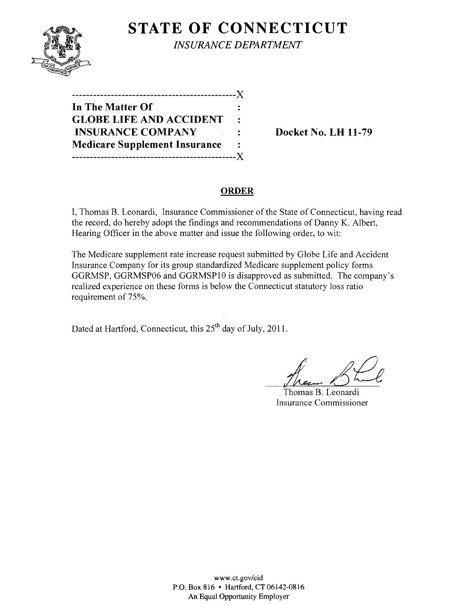

**STATE OF CONNECTICUT** *INSURANCE DEPARTMENT* 

| ---------                            |              |
|--------------------------------------|--------------|
| In The Matter Of                     |              |
| <b>GLOBE LIFE AND ACCIDENT</b>       | $\mathbf{r}$ |
| <b>INSURANCE COMPANY</b>             | ٠            |
| <b>Medicare Supplement Insurance</b> |              |
| ------------------------             | X.           |

**Docket No. LH 11-79** 

# **ORDER**

I, Thomas B. Leonardi, Insurance Commissioner of the State of Connecticut, having read the record, do hereby adopt the findings and recommendations of Danny K. Albert, Hearing Officer in the above matter and issue the following order, to wit:

The Medicare supplement rate increase request submitted by Globe Life and Accident Insurance Company for its group standardized Medicare supplement policy forms GGRMSP, GGRMSP06 and GGRMSPI0 is disapproved as submitted. The company's realized experience on these forms is below the Connecticut statutory loss ratio requirement of 75%.

Dated at Hartford, Connecticut, this 25<sup>th</sup> day of July, 2011.

*L6t2t*  Thomas B. Leonardi

Insurance Commissioner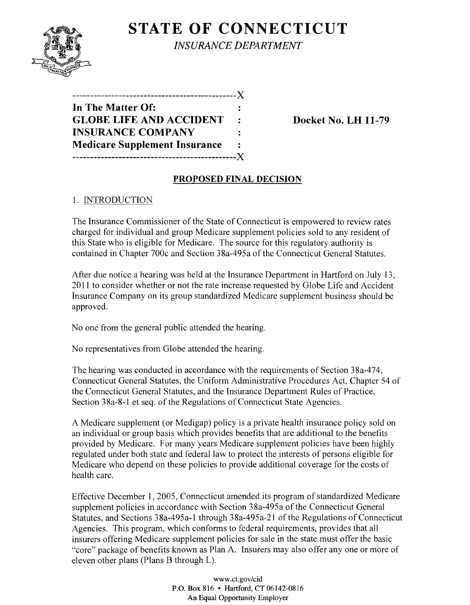

**STATE OF CONNECTICUT** *INSURANCE DEPARTMENT* 

| In The Matter Of:                    |              |
|--------------------------------------|--------------|
| <b>GLOBE LIFE AND ACCIDENT</b>       | $\mathbf{L}$ |
| <b>INSURANCE COMPANY</b>             |              |
| <b>Medicare Supplement Insurance</b> |              |
| -----------------------              | . X          |

**Docket No. LH 11-79** 

# **PROPOSED FINAL DECISION**

### 1. INTRODUCTION

The Insurance Commissioner of the State of Connecticut is empowered to review rates charged for individual and group Medicare supplement policies sold to any resident of this State who is eligible for Medicare. The source for this regulatory authority is contained in Chapter 700c and Section 38a-495a of the Connecticut General Statutes.

After due notice a hearing was held at the Insurance Department in Hartford on July 13, 2011 to consider whether or not the rate increase requested by Globe Life and Accident Insurance Company on its group standardized Medicare supplement business should be approved.

No one from the general public attended the hearing.

No representatives from Globe attended the hearing.

The hearing was conducted in accordance with the requirements of Section 38a-474. Connecticut General Statutes, the Uniform Administrative Procedures Act, Chapter 54 of the Connecticut General Statutes, and the Insurance Department Rules of Practice, Section 38a-8-l et seq. of the Regulations of Connecticut State Agencies.

A Medicare supplement (or Medigap) policy is a private health insurance policy sold on an individual or group basis which provides benefits that are additional to the benefits provided by Medicare. For many years Medicare supplement policies have been highly regulated under both state and federal law to protect the interests of persons eligible for Medicare who depend on these policies to provide additional coverage for the costs of health care.

Effective December 1,2005, Connecticut amended its program of standardized Medicare supplement policies in accordance with Section 38a-495a of the Connecticut General Statutes, and Sections 38a-495a-l through 38a-495a-2l of the Regulations of Connecticut Agencies. This program, which conforms to federal requirements, provides that all insurers offering Medicare supplement policies for sale in the state must offer the basic "core" package of benefits known as Plan A. Insurers may also offer anyone or more of eleven other plans (Plans B through L).

> www.ct.gov/cid P.O. Box 816 • Hartford, CT 06142-0816 An Equal Opportunity Employer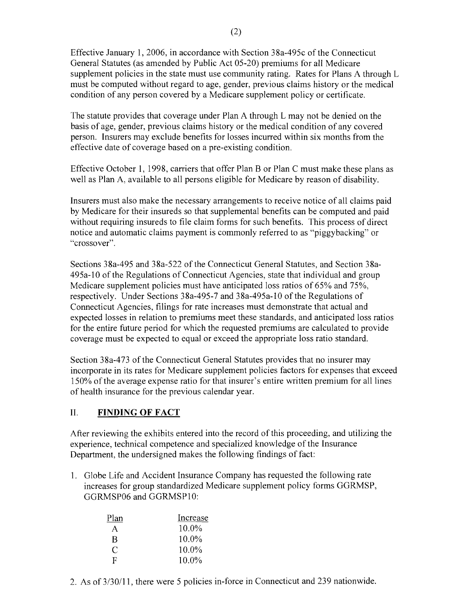Effective January 1, 2006, in accordance with Section 38a-495c of the Connecticut General Statutes (as amended by Public Act 05-20) premiums for all Medicare supplement policies in the state must use community rating. Rates for Plans A through L must be computed without regard to age, gender, previous claims history or the medical condition of any person covered by a Medicare supplement policy or certificate.

The statute provides that coverage under Plan A through L may not be denied on the basis of age, gender, previous claims history or the medical condition of any covered person. Insurers may exclude benefits for losses incurred within six months from the effective date of coverage based on a pre-existing condition.

Effective October I, 1998, carriers that offer Plan B or Plan C must make these plans as well as Plan A, available to all persons eligible for Medicare by reason of disability.

Insurers must also make the necessary arrangements to receive notice of all claims paid by Medicare for their insureds so that supplemental benefits can be computed and paid without requiring insureds to file claim forms for such benefits. This process of direct notice and automatic claims payment is commonly referred to as "piggybacking" or "crossover".

Sections 38a-495 and 38a-522 of the Connecticut General Statutes, and Section 38a-495a-l0 of the Regulations of Connecticut Agencies, state that individual and group Medicare supplement policies must have anticipated loss ratios of 65% and 75%, respectively. Under Sections 38a-495-7 and 38a-495a-l0 of the Regulations of Connecticut Agencies, filings for rate increases must demonstrate that actual and expected losses in relation to premiums meet these standards, and anticipated loss ratios for the entire future period for which the requested premiums are calculated to provide coverage must be expected to equal or exceed the appropriate loss ratio standard.

Section 38a-473 of the Connecticut General Statutes provides that no insurer may incorporate in its rates for Medicare supplement policies factors for expenses that exceed 150% ofthe average expense ratio for that insurer's entire written premium for all lines of health insurance for the previous calendar year.

# II. **FINDING OF FACT**

After reviewing the exhibits entered into the record of this proceeding, and utilizing the experience, technical competence and specialized knowledge of the Insurance Department, the undersigned makes the following findings of fact:

1. Globe Life and Accident Insurance Company has requested the following rate increases for group standardized Medicare supplement policy forms GGRMSP, GGRMSP06 and GGRMSPI0:

| Plan | Increase |
|------|----------|
| A    | 10.0%    |
| B    | $10.0\%$ |
| C    | $10.0\%$ |
| F    | $10.0\%$ |

2. As of 3/30/11, there were 5 policies in-force in Connecticut and 239 nationwide.